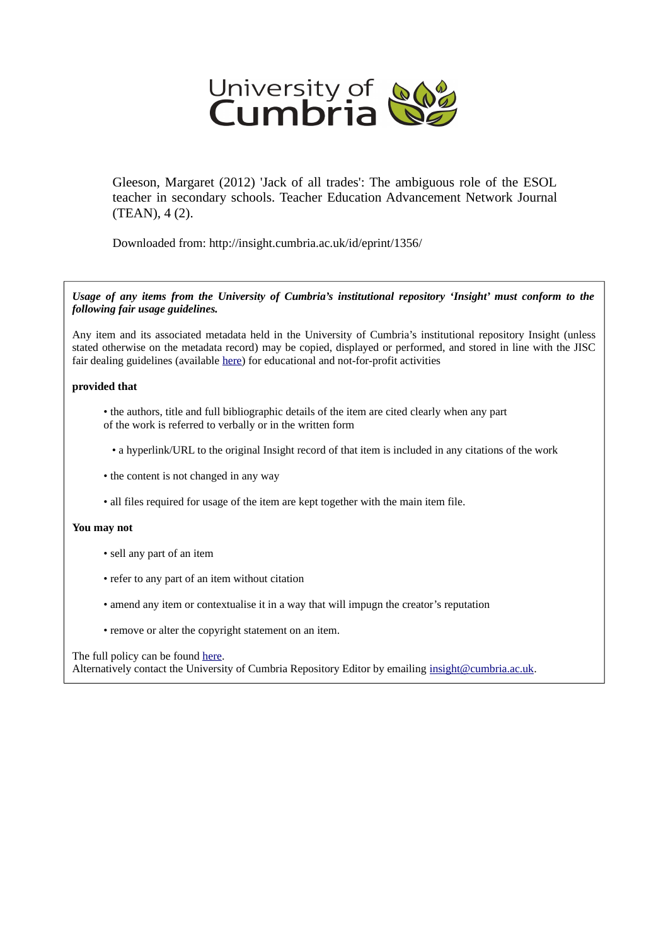

Gleeson, Margaret (2012) 'Jack of all trades': The ambiguous role of the ESOL teacher in secondary schools. Teacher Education Advancement Network Journal (TEAN), 4 (2).

Downloaded from: http://insight.cumbria.ac.uk/id/eprint/1356/

*Usage of any items from the University of Cumbria's institutional repository 'Insight' must conform to the following fair usage guidelines.*

Any item and its associated metadata held in the University of Cumbria's institutional repository Insight (unless stated otherwise on the metadata record) may be copied, displayed or performed, and stored in line with the JISC fair dealing guidelines (available [here\)](http://www.ukoln.ac.uk/services/elib/papers/pa/fair/) for educational and not-for-profit activities

#### **provided that**

- the authors, title and full bibliographic details of the item are cited clearly when any part of the work is referred to verbally or in the written form
	- a hyperlink/URL to the original Insight record of that item is included in any citations of the work
- the content is not changed in any way
- all files required for usage of the item are kept together with the main item file.

#### **You may not**

- sell any part of an item
- refer to any part of an item without citation
- amend any item or contextualise it in a way that will impugn the creator's reputation
- remove or alter the copyright statement on an item.

#### The full policy can be found [here.](http://insight.cumbria.ac.uk/legal.html#section5)

Alternatively contact the University of Cumbria Repository Editor by emailing [insight@cumbria.ac.uk.](mailto:insight@cumbria.ac.uk)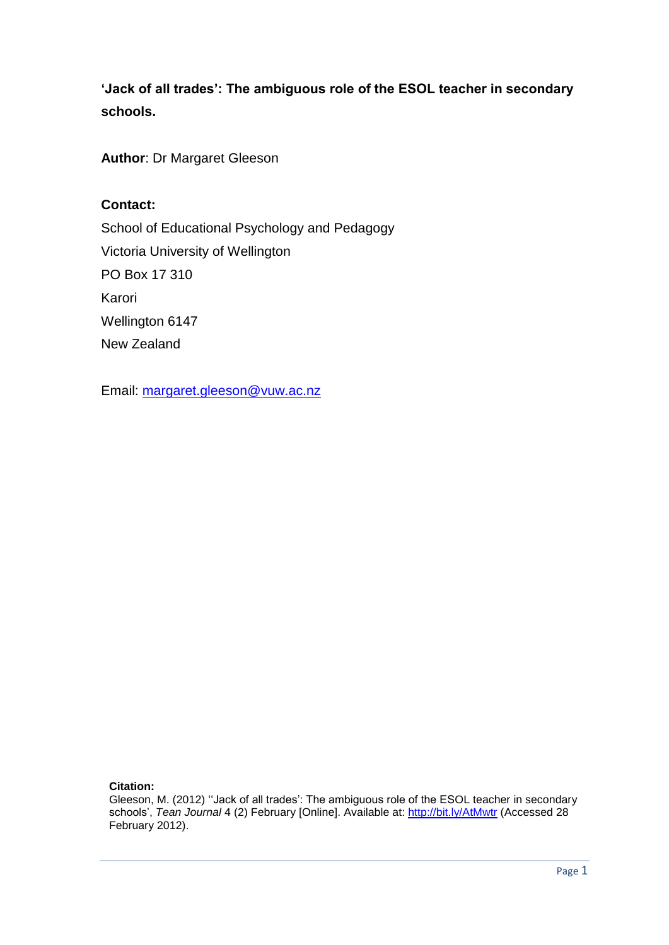**'Jack of all trades': The ambiguous role of the ESOL teacher in secondary schools.**

**Author**: Dr Margaret Gleeson

### **Contact:**

School of Educational Psychology and Pedagogy Victoria University of Wellington PO Box 17 310 Karori Wellington 6147 New Zealand

Email: [margaret.gleeson@vuw.ac.nz](mailto:margaret.gleeson@vuw.ac.nz)

#### **Citation:**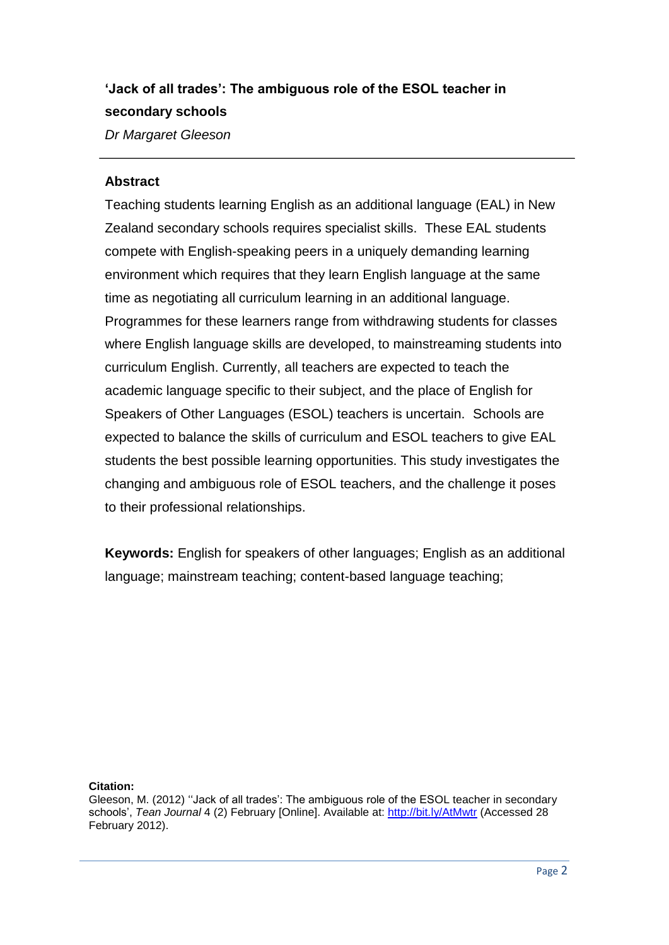# **'Jack of all trades': The ambiguous role of the ESOL teacher in secondary schools**

*Dr Margaret Gleeson*

### **Abstract**

Teaching students learning English as an additional language (EAL) in New Zealand secondary schools requires specialist skills. These EAL students compete with English-speaking peers in a uniquely demanding learning environment which requires that they learn English language at the same time as negotiating all curriculum learning in an additional language. Programmes for these learners range from withdrawing students for classes where English language skills are developed, to mainstreaming students into curriculum English. Currently, all teachers are expected to teach the academic language specific to their subject, and the place of English for Speakers of Other Languages (ESOL) teachers is uncertain. Schools are expected to balance the skills of curriculum and ESOL teachers to give EAL students the best possible learning opportunities. This study investigates the changing and ambiguous role of ESOL teachers, and the challenge it poses to their professional relationships.

**Keywords:** English for speakers of other languages; English as an additional language; mainstream teaching; content-based language teaching;

#### **Citation:**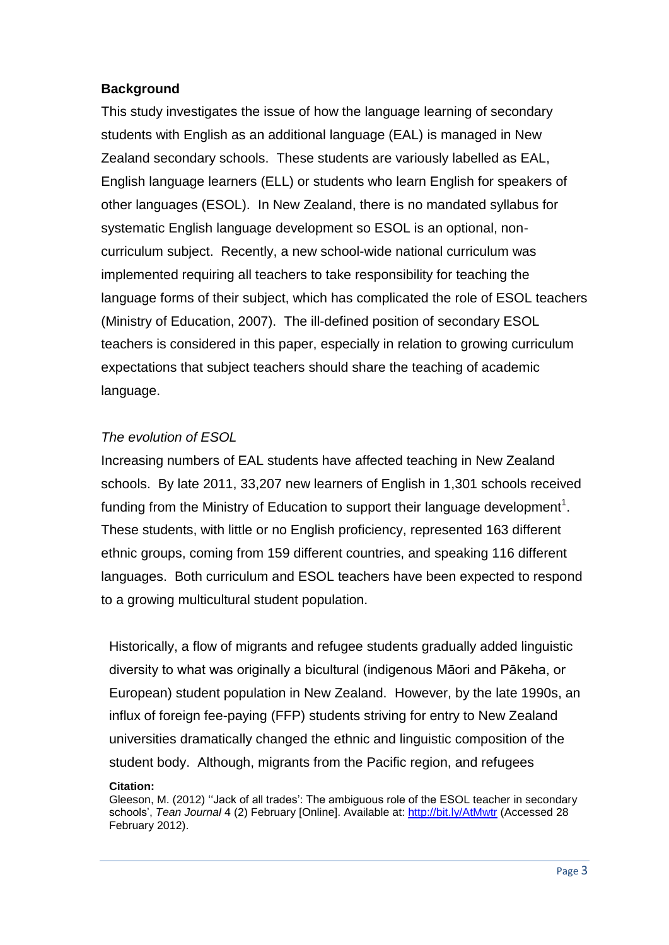# **Background**

This study investigates the issue of how the language learning of secondary students with English as an additional language (EAL) is managed in New Zealand secondary schools. These students are variously labelled as EAL, English language learners (ELL) or students who learn English for speakers of other languages (ESOL). In New Zealand, there is no mandated syllabus for systematic English language development so ESOL is an optional, noncurriculum subject. Recently, a new school-wide national curriculum was implemented requiring all teachers to take responsibility for teaching the language forms of their subject, which has complicated the role of ESOL teachers (Ministry of Education, 2007). The ill-defined position of secondary ESOL teachers is considered in this paper, especially in relation to growing curriculum expectations that subject teachers should share the teaching of academic language.

### *The evolution of ESOL*

Increasing numbers of EAL students have affected teaching in New Zealand schools. By late 2011, 33,207 new learners of English in 1,301 schools received funding from the Ministry of Education to support their language development<sup>1</sup>. These students, with little or no English proficiency, represented 163 different ethnic groups, coming from 159 different countries, and speaking 116 different languages. Both curriculum and ESOL teachers have been expected to respond to a growing multicultural student population.

Historically, a flow of migrants and refugee students gradually added linguistic diversity to what was originally a bicultural (indigenous Māori and Pākeha, or European) student population in New Zealand. However, by the late 1990s, an influx of foreign fee-paying (FFP) students striving for entry to New Zealand universities dramatically changed the ethnic and linguistic composition of the student body. Although, migrants from the Pacific region, and refugees

Gleeson, M. (2012) ''Jack of all trades': The ambiguous role of the ESOL teacher in secondary schools', *Tean Journal* 4 (2) February [Online]. Available at: http://bit.ly/AtMwtr (Accessed 28 February 2012).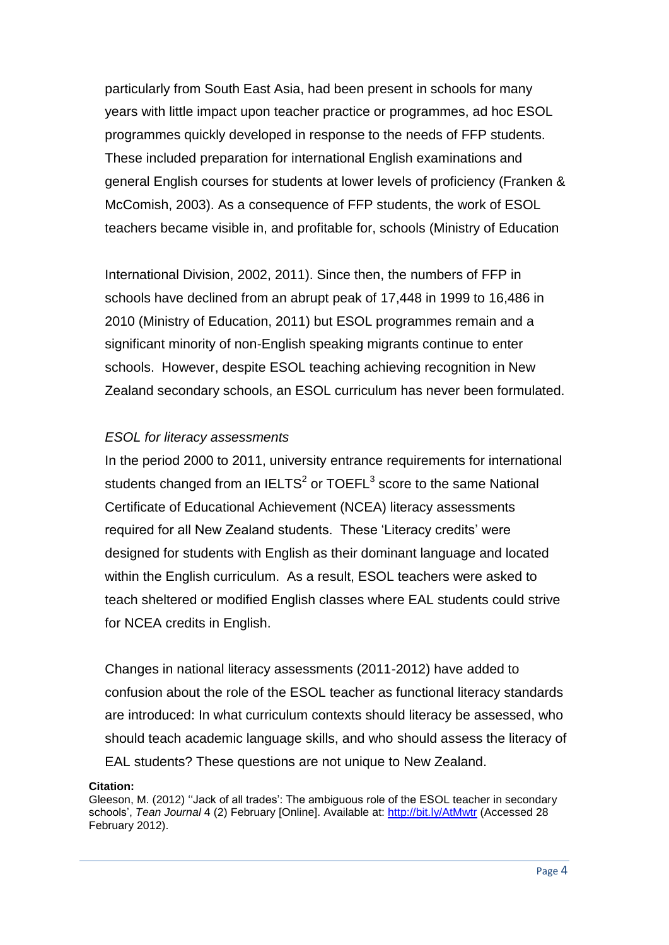particularly from South East Asia, had been present in schools for many years with little impact upon teacher practice or programmes, ad hoc ESOL programmes quickly developed in response to the needs of FFP students. These included preparation for international English examinations and general English courses for students at lower levels of proficiency (Franken & McComish, 2003). As a consequence of FFP students, the work of ESOL teachers became visible in, and profitable for, schools (Ministry of Education

International Division, 2002, 2011). Since then, the numbers of FFP in schools have declined from an abrupt peak of 17,448 in 1999 to 16,486 in 2010 (Ministry of Education, 2011) but ESOL programmes remain and a significant minority of non-English speaking migrants continue to enter schools. However, despite ESOL teaching achieving recognition in New Zealand secondary schools, an ESOL curriculum has never been formulated.

# *ESOL for literacy assessments*

In the period 2000 to 2011, university entrance requirements for international students changed from an IELTS<sup>2</sup> or TOEFL<sup>3</sup> score to the same National Certificate of Educational Achievement (NCEA) literacy assessments required for all New Zealand students. These 'Literacy credits' were designed for students with English as their dominant language and located within the English curriculum. As a result, ESOL teachers were asked to teach sheltered or modified English classes where EAL students could strive for NCEA credits in English.

Changes in national literacy assessments (2011-2012) have added to confusion about the role of the ESOL teacher as functional literacy standards are introduced: In what curriculum contexts should literacy be assessed, who should teach academic language skills, and who should assess the literacy of EAL students? These questions are not unique to New Zealand.

#### **Citation:**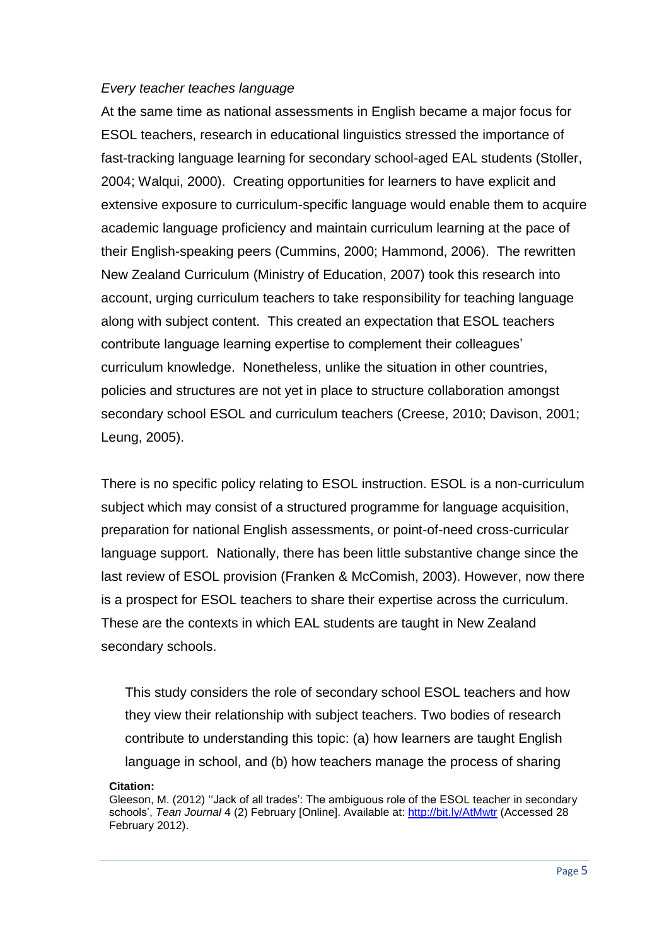### *Every teacher teaches language*

At the same time as national assessments in English became a major focus for ESOL teachers, research in educational linguistics stressed the importance of fast-tracking language learning for secondary school-aged EAL students (Stoller, 2004; Walqui, 2000). Creating opportunities for learners to have explicit and extensive exposure to curriculum-specific language would enable them to acquire academic language proficiency and maintain curriculum learning at the pace of their English-speaking peers (Cummins, 2000; Hammond, 2006). The rewritten New Zealand Curriculum (Ministry of Education, 2007) took this research into account, urging curriculum teachers to take responsibility for teaching language along with subject content. This created an expectation that ESOL teachers contribute language learning expertise to complement their colleagues' curriculum knowledge. Nonetheless, unlike the situation in other countries, policies and structures are not yet in place to structure collaboration amongst secondary school ESOL and curriculum teachers (Creese, 2010; Davison, 2001; Leung, 2005).

There is no specific policy relating to ESOL instruction. ESOL is a non-curriculum subject which may consist of a structured programme for language acquisition, preparation for national English assessments, or point-of-need cross-curricular language support. Nationally, there has been little substantive change since the last review of ESOL provision (Franken & McComish, 2003). However, now there is a prospect for ESOL teachers to share their expertise across the curriculum. These are the contexts in which EAL students are taught in New Zealand secondary schools.

This study considers the role of secondary school ESOL teachers and how they view their relationship with subject teachers. Two bodies of research contribute to understanding this topic: (a) how learners are taught English language in school, and (b) how teachers manage the process of sharing

Gleeson, M. (2012) ''Jack of all trades': The ambiguous role of the ESOL teacher in secondary schools', *Tean Journal* 4 (2) February [Online]. Available at: http://bit.ly/AtMwtr (Accessed 28 February 2012).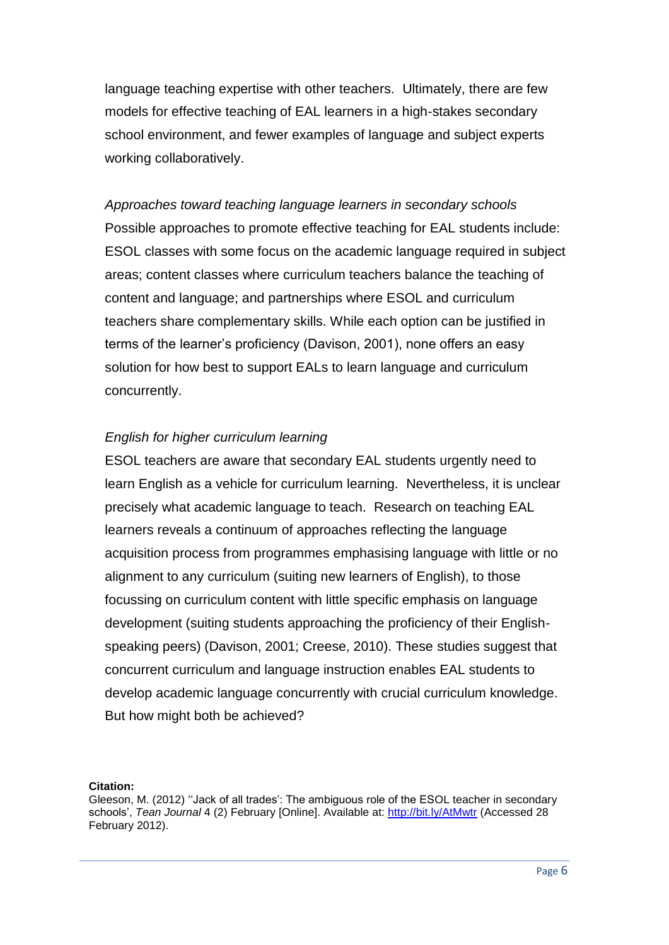language teaching expertise with other teachers. Ultimately, there are few models for effective teaching of EAL learners in a high-stakes secondary school environment, and fewer examples of language and subject experts working collaboratively.

*Approaches toward teaching language learners in secondary schools* Possible approaches to promote effective teaching for EAL students include: ESOL classes with some focus on the academic language required in subject areas; content classes where curriculum teachers balance the teaching of content and language; and partnerships where ESOL and curriculum teachers share complementary skills. While each option can be justified in terms of the learner's proficiency (Davison, 2001), none offers an easy solution for how best to support EALs to learn language and curriculum concurrently.

### *English for higher curriculum learning*

ESOL teachers are aware that secondary EAL students urgently need to learn English as a vehicle for curriculum learning. Nevertheless, it is unclear precisely what academic language to teach. Research on teaching EAL learners reveals a continuum of approaches reflecting the language acquisition process from programmes emphasising language with little or no alignment to any curriculum (suiting new learners of English), to those focussing on curriculum content with little specific emphasis on language development (suiting students approaching the proficiency of their Englishspeaking peers) (Davison, 2001; Creese, 2010). These studies suggest that concurrent curriculum and language instruction enables EAL students to develop academic language concurrently with crucial curriculum knowledge. But how might both be achieved?

#### **Citation:**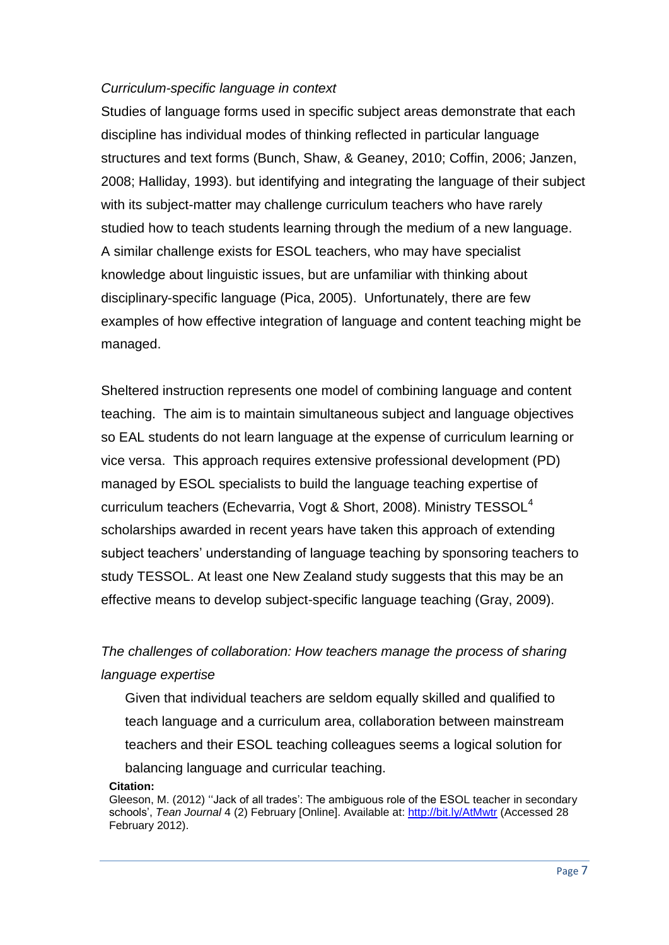### *Curriculum-specific language in context*

Studies of language forms used in specific subject areas demonstrate that each discipline has individual modes of thinking reflected in particular language structures and text forms (Bunch, Shaw, & Geaney, 2010; Coffin, 2006; Janzen, 2008; Halliday, 1993). but identifying and integrating the language of their subject with its subject-matter may challenge curriculum teachers who have rarely studied how to teach students learning through the medium of a new language. A similar challenge exists for ESOL teachers, who may have specialist knowledge about linguistic issues, but are unfamiliar with thinking about disciplinary-specific language (Pica, 2005). Unfortunately, there are few examples of how effective integration of language and content teaching might be managed.

Sheltered instruction represents one model of combining language and content teaching. The aim is to maintain simultaneous subject and language objectives so EAL students do not learn language at the expense of curriculum learning or vice versa. This approach requires extensive professional development (PD) managed by ESOL specialists to build the language teaching expertise of curriculum teachers (Echevarria, Vogt & Short, 2008). Ministry TESSOL<sup>4</sup> scholarships awarded in recent years have taken this approach of extending subject teachers' understanding of language teaching by sponsoring teachers to study TESSOL. At least one New Zealand study suggests that this may be an effective means to develop subject-specific language teaching (Gray, 2009).

# *The challenges of collaboration: How teachers manage the process of sharing language expertise*

Given that individual teachers are seldom equally skilled and qualified to teach language and a curriculum area, collaboration between mainstream teachers and their ESOL teaching colleagues seems a logical solution for balancing language and curricular teaching.

Gleeson, M. (2012) ''Jack of all trades': The ambiguous role of the ESOL teacher in secondary schools', *Tean Journal* 4 (2) February [Online]. Available at: http://bit.ly/AtMwtr (Accessed 28 February 2012).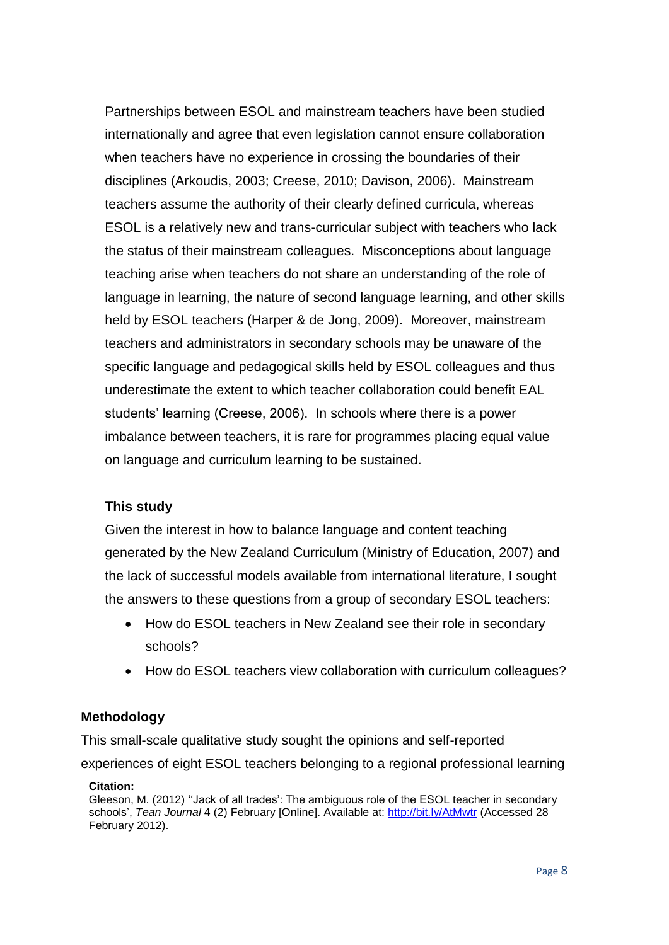Partnerships between ESOL and mainstream teachers have been studied internationally and agree that even legislation cannot ensure collaboration when teachers have no experience in crossing the boundaries of their disciplines (Arkoudis, 2003; Creese, 2010; Davison, 2006). Mainstream teachers assume the authority of their clearly defined curricula, whereas ESOL is a relatively new and trans-curricular subject with teachers who lack the status of their mainstream colleagues. Misconceptions about language teaching arise when teachers do not share an understanding of the role of language in learning, the nature of second language learning, and other skills held by ESOL teachers (Harper & de Jong, 2009). Moreover, mainstream teachers and administrators in secondary schools may be unaware of the specific language and pedagogical skills held by ESOL colleagues and thus underestimate the extent to which teacher collaboration could benefit EAL students' learning (Creese, 2006). In schools where there is a power imbalance between teachers, it is rare for programmes placing equal value on language and curriculum learning to be sustained.

# **This study**

Given the interest in how to balance language and content teaching generated by the New Zealand Curriculum (Ministry of Education, 2007) and the lack of successful models available from international literature, I sought the answers to these questions from a group of secondary ESOL teachers:

- How do ESOL teachers in New Zealand see their role in secondary schools?
- How do ESOL teachers view collaboration with curriculum colleagues?

# **Methodology**

This small-scale qualitative study sought the opinions and self-reported experiences of eight ESOL teachers belonging to a regional professional learning

### **Citation:**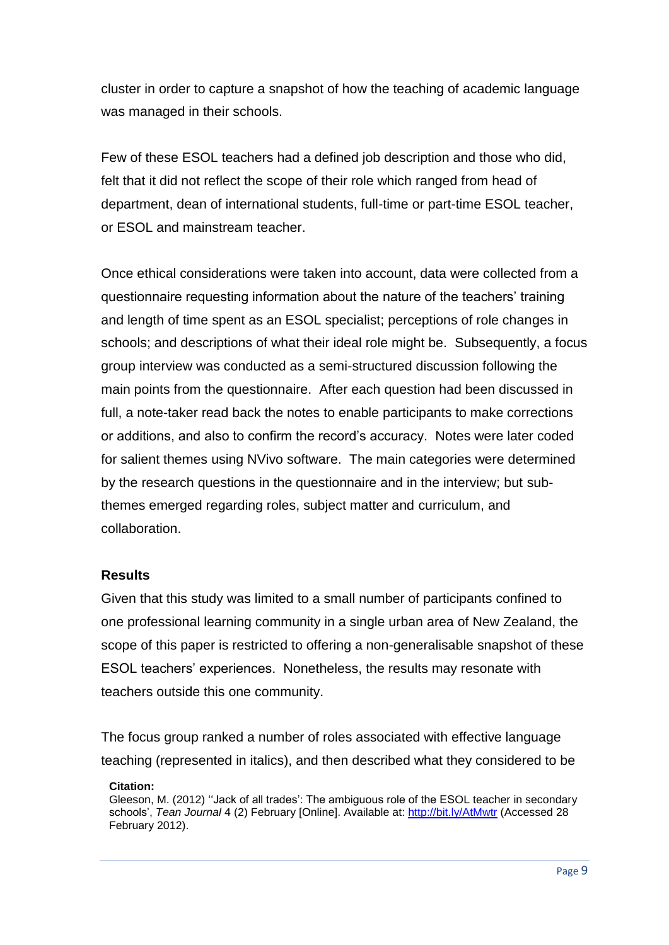cluster in order to capture a snapshot of how the teaching of academic language was managed in their schools.

Few of these ESOL teachers had a defined job description and those who did, felt that it did not reflect the scope of their role which ranged from head of department, dean of international students, full-time or part-time ESOL teacher, or ESOL and mainstream teacher.

Once ethical considerations were taken into account, data were collected from a questionnaire requesting information about the nature of the teachers' training and length of time spent as an ESOL specialist; perceptions of role changes in schools; and descriptions of what their ideal role might be. Subsequently, a focus group interview was conducted as a semi-structured discussion following the main points from the questionnaire. After each question had been discussed in full, a note-taker read back the notes to enable participants to make corrections or additions, and also to confirm the record's accuracy. Notes were later coded for salient themes using NVivo software. The main categories were determined by the research questions in the questionnaire and in the interview; but subthemes emerged regarding roles, subject matter and curriculum, and collaboration.

### **Results**

Given that this study was limited to a small number of participants confined to one professional learning community in a single urban area of New Zealand, the scope of this paper is restricted to offering a non-generalisable snapshot of these ESOL teachers' experiences. Nonetheless, the results may resonate with teachers outside this one community.

The focus group ranked a number of roles associated with effective language teaching (represented in italics), and then described what they considered to be

### **Citation:**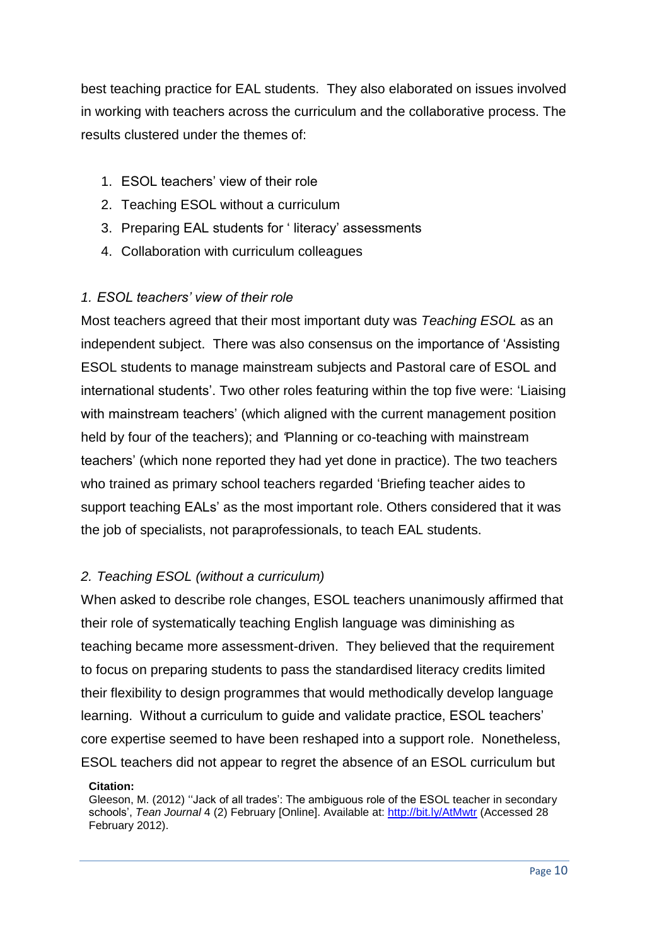best teaching practice for EAL students. They also elaborated on issues involved in working with teachers across the curriculum and the collaborative process. The results clustered under the themes of:

- 1. ESOL teachers' view of their role
- 2. Teaching ESOL without a curriculum
- 3. Preparing EAL students for ' literacy' assessments
- 4. Collaboration with curriculum colleagues

# *1. ESOL teachers' view of their role*

Most teachers agreed that their most important duty was *Teaching ESOL* as an independent subject. There was also consensus on the importance of 'Assisting ESOL students to manage mainstream subjects and Pastoral care of ESOL and international students'. Two other roles featuring within the top five were: 'Liaising with mainstream teachers' (which aligned with the current management position held by four of the teachers); and *'*Planning or co-teaching with mainstream teachers' (which none reported they had yet done in practice). The two teachers who trained as primary school teachers regarded 'Briefing teacher aides to support teaching EALs' as the most important role. Others considered that it was the job of specialists, not paraprofessionals, to teach EAL students.

# *2. Teaching ESOL (without a curriculum)*

When asked to describe role changes, ESOL teachers unanimously affirmed that their role of systematically teaching English language was diminishing as teaching became more assessment-driven. They believed that the requirement to focus on preparing students to pass the standardised literacy credits limited their flexibility to design programmes that would methodically develop language learning. Without a curriculum to guide and validate practice, ESOL teachers' core expertise seemed to have been reshaped into a support role. Nonetheless, ESOL teachers did not appear to regret the absence of an ESOL curriculum but

### **Citation:**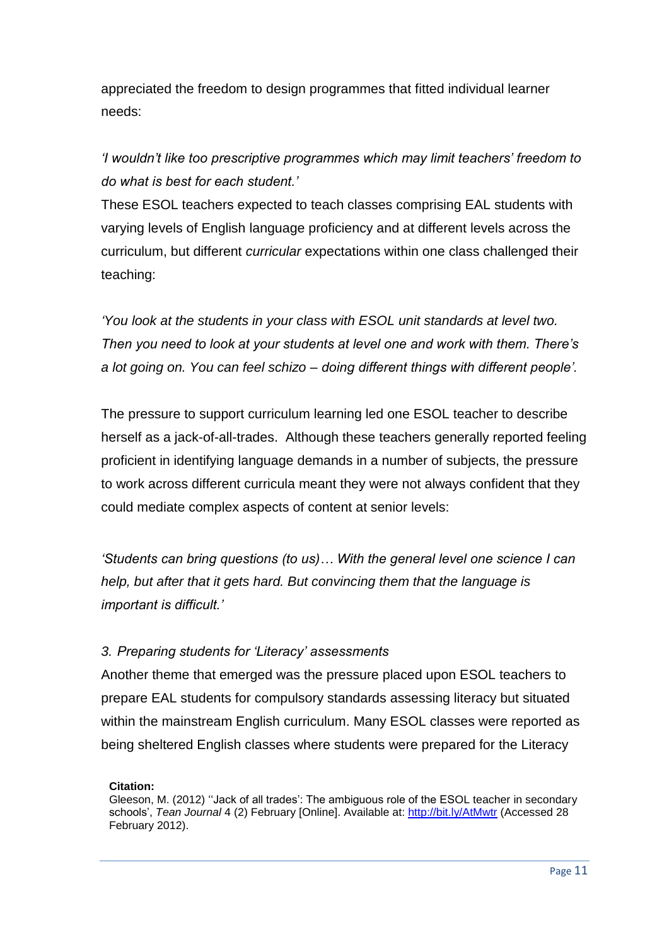appreciated the freedom to design programmes that fitted individual learner needs:

*'I wouldn't like too prescriptive programmes which may limit teachers' freedom to do what is best for each student.'*

These ESOL teachers expected to teach classes comprising EAL students with varying levels of English language proficiency and at different levels across the curriculum, but different *curricular* expectations within one class challenged their teaching:

*'You look at the students in your class with ESOL unit standards at level two. Then you need to look at your students at level one and work with them. There's a lot going on. You can feel schizo – doing different things with different people'.*

The pressure to support curriculum learning led one ESOL teacher to describe herself as a jack-of-all-trades. Although these teachers generally reported feeling proficient in identifying language demands in a number of subjects, the pressure to work across different curricula meant they were not always confident that they could mediate complex aspects of content at senior levels:

*'Students can bring questions (to us)… With the general level one science I can help, but after that it gets hard. But convincing them that the language is important is difficult.'*

# *3. Preparing students for 'Literacy' assessments*

Another theme that emerged was the pressure placed upon ESOL teachers to prepare EAL students for compulsory standards assessing literacy but situated within the mainstream English curriculum. Many ESOL classes were reported as being sheltered English classes where students were prepared for the Literacy

### **Citation:**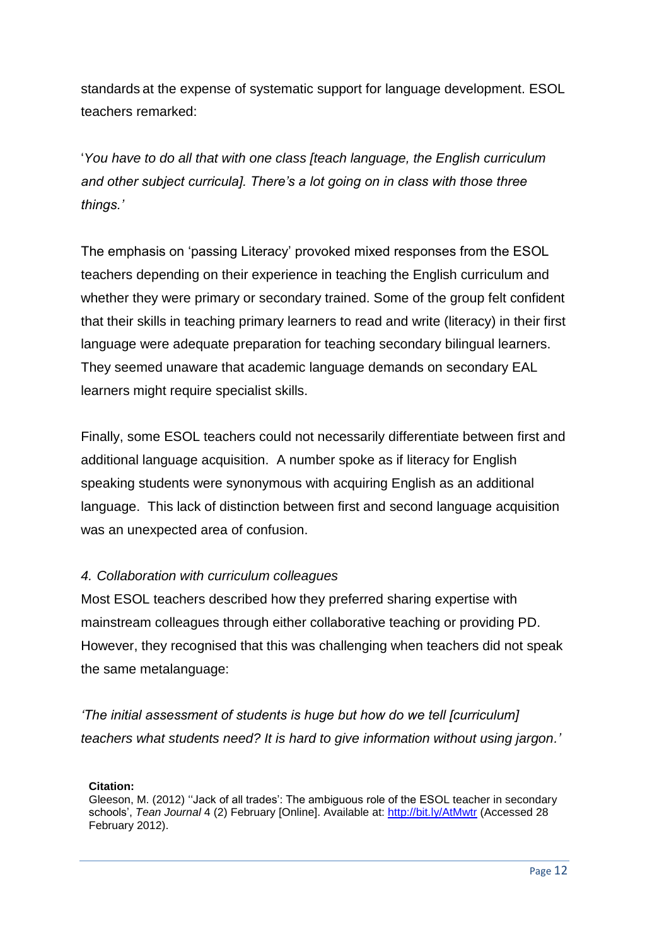standards at the expense of systematic support for language development. ESOL teachers remarked:

'*You have to do all that with one class [teach language, the English curriculum and other subject curricula]. There's a lot going on in class with those three things.'*

The emphasis on 'passing Literacy' provoked mixed responses from the ESOL teachers depending on their experience in teaching the English curriculum and whether they were primary or secondary trained. Some of the group felt confident that their skills in teaching primary learners to read and write (literacy) in their first language were adequate preparation for teaching secondary bilingual learners. They seemed unaware that academic language demands on secondary EAL learners might require specialist skills.

Finally, some ESOL teachers could not necessarily differentiate between first and additional language acquisition. A number spoke as if literacy for English speaking students were synonymous with acquiring English as an additional language. This lack of distinction between first and second language acquisition was an unexpected area of confusion.

# *4. Collaboration with curriculum colleagues*

Most ESOL teachers described how they preferred sharing expertise with mainstream colleagues through either collaborative teaching or providing PD. However, they recognised that this was challenging when teachers did not speak the same metalanguage:

*'The initial assessment of students is huge but how do we tell [curriculum] teachers what students need? It is hard to give information without using jargon.'*

**Citation:**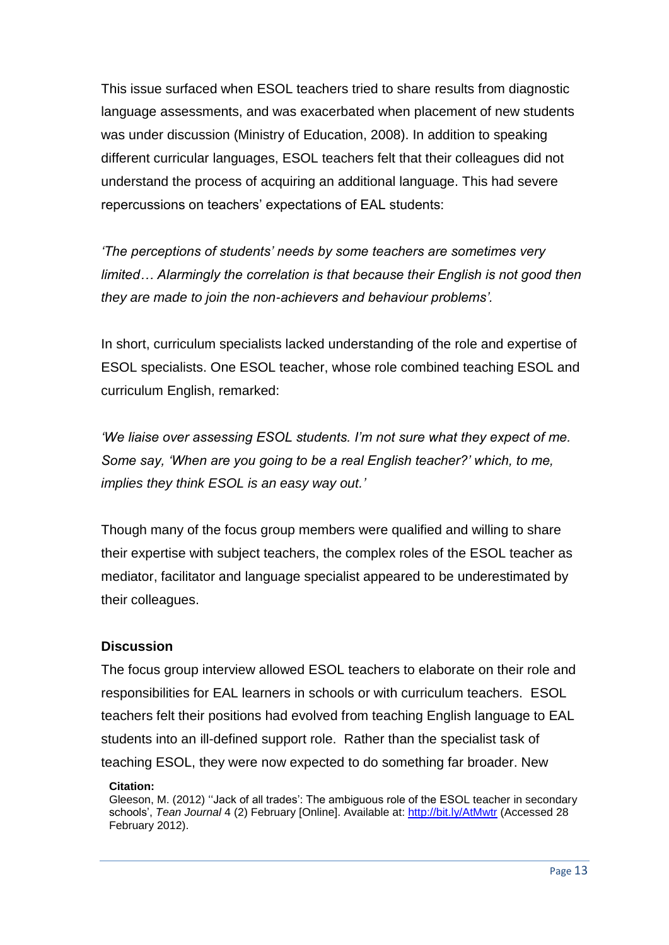This issue surfaced when ESOL teachers tried to share results from diagnostic language assessments, and was exacerbated when placement of new students was under discussion (Ministry of Education, 2008). In addition to speaking different curricular languages, ESOL teachers felt that their colleagues did not understand the process of acquiring an additional language. This had severe repercussions on teachers' expectations of EAL students:

*'The perceptions of students' needs by some teachers are sometimes very limited… Alarmingly the correlation is that because their English is not good then they are made to join the non-achievers and behaviour problems'.* 

In short, curriculum specialists lacked understanding of the role and expertise of ESOL specialists. One ESOL teacher, whose role combined teaching ESOL and curriculum English, remarked:

*'We liaise over assessing ESOL students. I'm not sure what they expect of me. Some say, 'When are you going to be a real English teacher?' which, to me, implies they think ESOL is an easy way out.'* 

Though many of the focus group members were qualified and willing to share their expertise with subject teachers, the complex roles of the ESOL teacher as mediator, facilitator and language specialist appeared to be underestimated by their colleagues.

# **Discussion**

The focus group interview allowed ESOL teachers to elaborate on their role and responsibilities for EAL learners in schools or with curriculum teachers. ESOL teachers felt their positions had evolved from teaching English language to EAL students into an ill-defined support role. Rather than the specialist task of teaching ESOL, they were now expected to do something far broader. New

### **Citation:**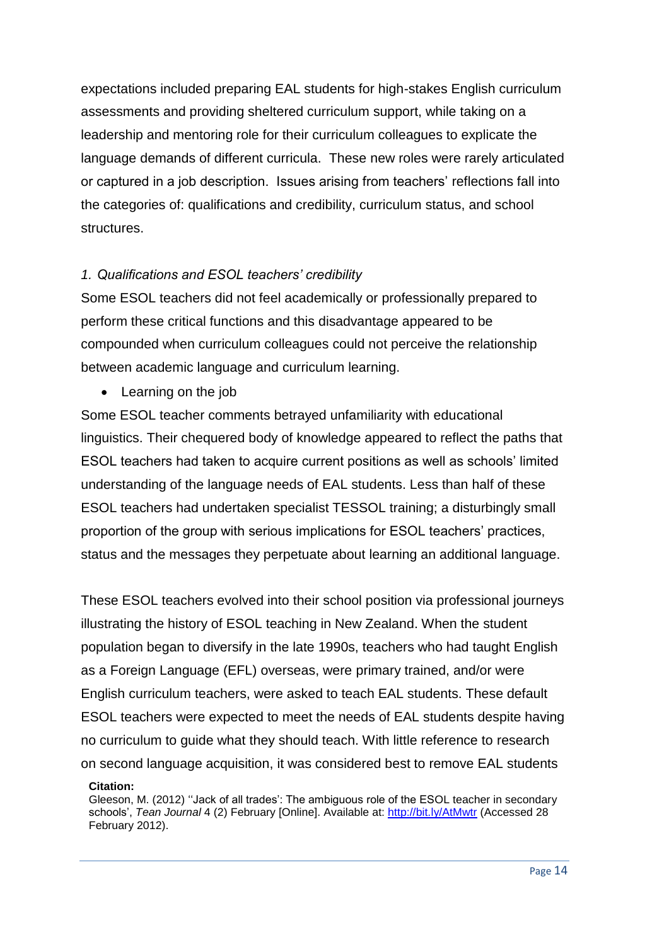expectations included preparing EAL students for high-stakes English curriculum assessments and providing sheltered curriculum support, while taking on a leadership and mentoring role for their curriculum colleagues to explicate the language demands of different curricula. These new roles were rarely articulated or captured in a job description. Issues arising from teachers' reflections fall into the categories of: qualifications and credibility, curriculum status, and school structures.

# *1. Qualifications and ESOL teachers' credibility*

Some ESOL teachers did not feel academically or professionally prepared to perform these critical functions and this disadvantage appeared to be compounded when curriculum colleagues could not perceive the relationship between academic language and curriculum learning.

• Learning on the job

Some ESOL teacher comments betrayed unfamiliarity with educational linguistics. Their chequered body of knowledge appeared to reflect the paths that ESOL teachers had taken to acquire current positions as well as schools' limited understanding of the language needs of EAL students. Less than half of these ESOL teachers had undertaken specialist TESSOL training; a disturbingly small proportion of the group with serious implications for ESOL teachers' practices, status and the messages they perpetuate about learning an additional language.

These ESOL teachers evolved into their school position via professional journeys illustrating the history of ESOL teaching in New Zealand. When the student population began to diversify in the late 1990s, teachers who had taught English as a Foreign Language (EFL) overseas, were primary trained, and/or were English curriculum teachers, were asked to teach EAL students. These default ESOL teachers were expected to meet the needs of EAL students despite having no curriculum to guide what they should teach. With little reference to research on second language acquisition, it was considered best to remove EAL students

### **Citation:**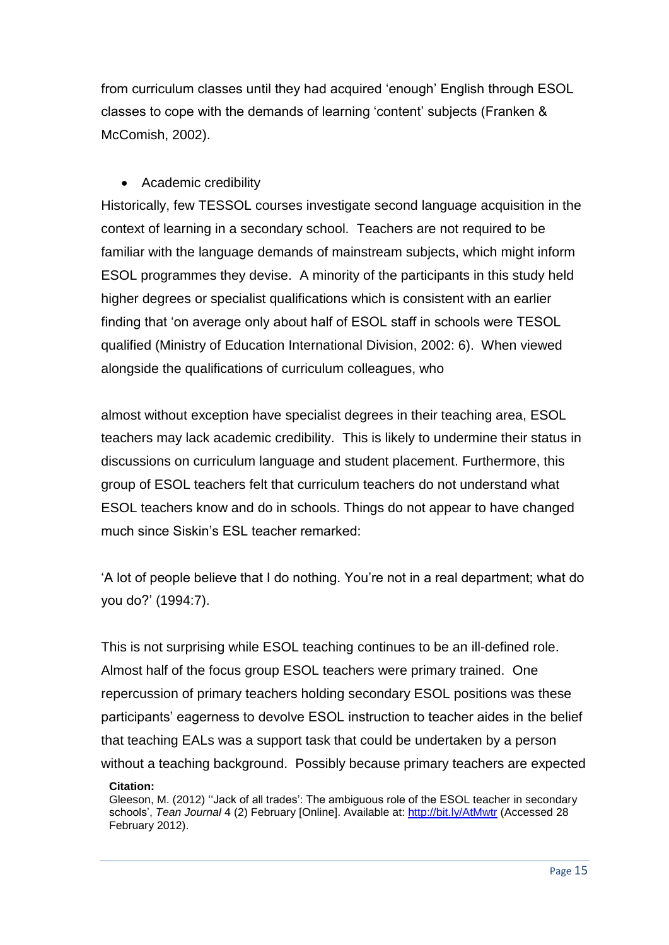from curriculum classes until they had acquired 'enough' English through ESOL classes to cope with the demands of learning 'content' subjects (Franken & McComish, 2002).

# • Academic credibility

Historically, few TESSOL courses investigate second language acquisition in the context of learning in a secondary school. Teachers are not required to be familiar with the language demands of mainstream subjects, which might inform ESOL programmes they devise. A minority of the participants in this study held higher degrees or specialist qualifications which is consistent with an earlier finding that 'on average only about half of ESOL staff in schools were TESOL qualified (Ministry of Education International Division, 2002: 6). When viewed alongside the qualifications of curriculum colleagues, who

almost without exception have specialist degrees in their teaching area, ESOL teachers may lack academic credibility. This is likely to undermine their status in discussions on curriculum language and student placement. Furthermore, this group of ESOL teachers felt that curriculum teachers do not understand what ESOL teachers know and do in schools. Things do not appear to have changed much since Siskin's ESL teacher remarked:

'A lot of people believe that I do nothing. You're not in a real department; what do you do?' (1994:7).

This is not surprising while ESOL teaching continues to be an ill-defined role. Almost half of the focus group ESOL teachers were primary trained. One repercussion of primary teachers holding secondary ESOL positions was these participants' eagerness to devolve ESOL instruction to teacher aides in the belief that teaching EALs was a support task that could be undertaken by a person without a teaching background. Possibly because primary teachers are expected

Gleeson, M. (2012) ''Jack of all trades': The ambiguous role of the ESOL teacher in secondary schools', *Tean Journal* 4 (2) February [Online]. Available at: http://bit.ly/AtMwtr (Accessed 28 February 2012).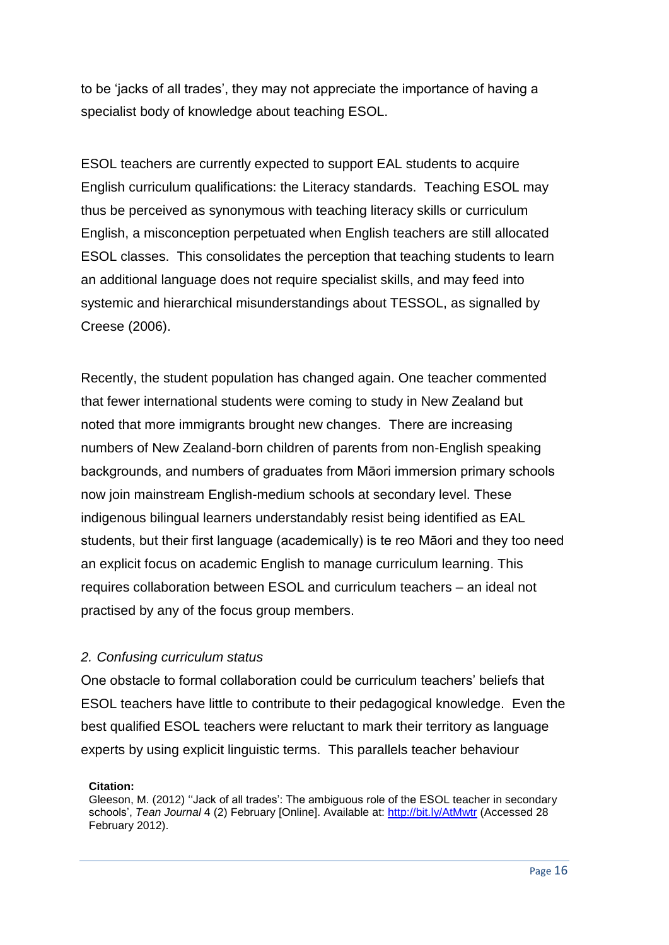to be 'jacks of all trades', they may not appreciate the importance of having a specialist body of knowledge about teaching ESOL.

ESOL teachers are currently expected to support EAL students to acquire English curriculum qualifications: the Literacy standards. Teaching ESOL may thus be perceived as synonymous with teaching literacy skills or curriculum English, a misconception perpetuated when English teachers are still allocated ESOL classes. This consolidates the perception that teaching students to learn an additional language does not require specialist skills, and may feed into systemic and hierarchical misunderstandings about TESSOL, as signalled by Creese (2006).

Recently, the student population has changed again. One teacher commented that fewer international students were coming to study in New Zealand but noted that more immigrants brought new changes. There are increasing numbers of New Zealand-born children of parents from non-English speaking backgrounds, and numbers of graduates from Māori immersion primary schools now join mainstream English-medium schools at secondary level. These indigenous bilingual learners understandably resist being identified as EAL students, but their first language (academically) is te reo Māori and they too need an explicit focus on academic English to manage curriculum learning. This requires collaboration between ESOL and curriculum teachers – an ideal not practised by any of the focus group members.

# *2. Confusing curriculum status*

One obstacle to formal collaboration could be curriculum teachers' beliefs that ESOL teachers have little to contribute to their pedagogical knowledge. Even the best qualified ESOL teachers were reluctant to mark their territory as language experts by using explicit linguistic terms. This parallels teacher behaviour

### **Citation:**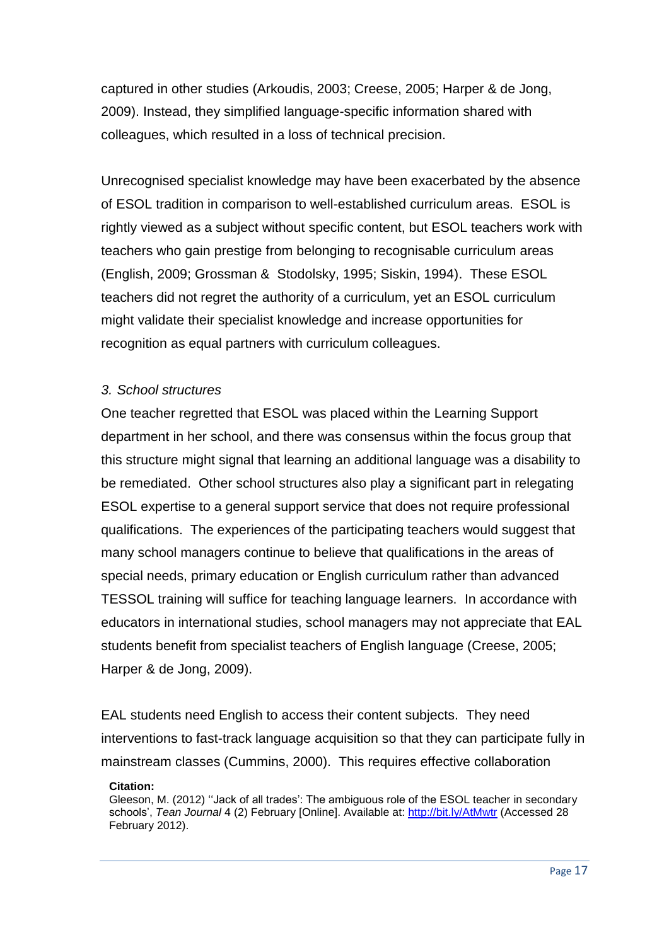captured in other studies (Arkoudis, 2003; Creese, 2005; Harper & de Jong, 2009). Instead, they simplified language-specific information shared with colleagues, which resulted in a loss of technical precision.

Unrecognised specialist knowledge may have been exacerbated by the absence of ESOL tradition in comparison to well-established curriculum areas. ESOL is rightly viewed as a subject without specific content, but ESOL teachers work with teachers who gain prestige from belonging to recognisable curriculum areas (English, 2009; Grossman & Stodolsky, 1995; Siskin, 1994). These ESOL teachers did not regret the authority of a curriculum, yet an ESOL curriculum might validate their specialist knowledge and increase opportunities for recognition as equal partners with curriculum colleagues.

### *3. School structures*

One teacher regretted that ESOL was placed within the Learning Support department in her school, and there was consensus within the focus group that this structure might signal that learning an additional language was a disability to be remediated. Other school structures also play a significant part in relegating ESOL expertise to a general support service that does not require professional qualifications. The experiences of the participating teachers would suggest that many school managers continue to believe that qualifications in the areas of special needs, primary education or English curriculum rather than advanced TESSOL training will suffice for teaching language learners. In accordance with educators in international studies, school managers may not appreciate that EAL students benefit from specialist teachers of English language (Creese, 2005; Harper & de Jong, 2009).

EAL students need English to access their content subjects. They need interventions to fast-track language acquisition so that they can participate fully in mainstream classes (Cummins, 2000). This requires effective collaboration

#### **Citation:**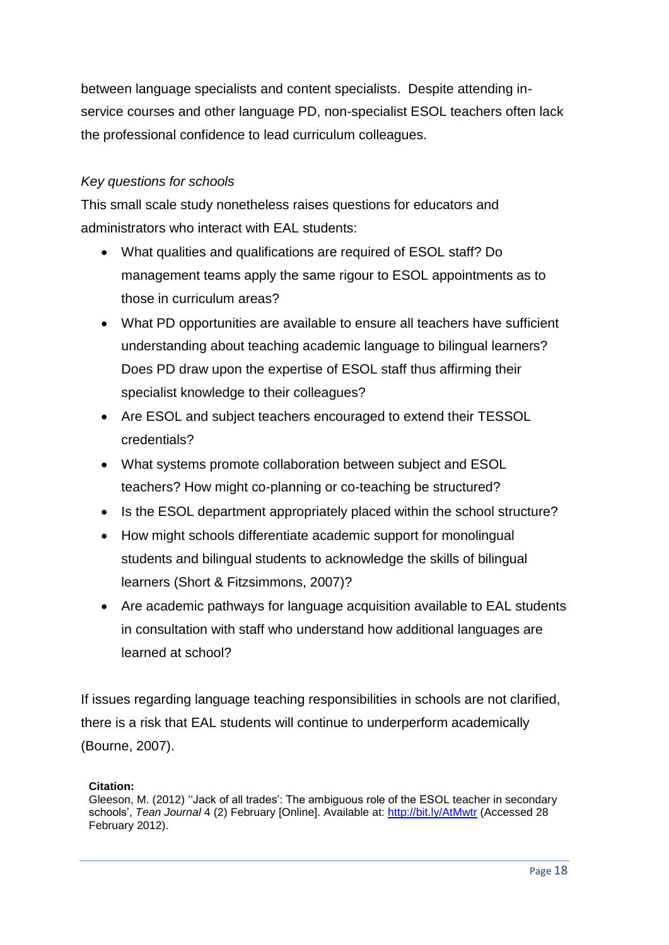between language specialists and content specialists. Despite attending inservice courses and other language PD, non-specialist ESOL teachers often lack the professional confidence to lead curriculum colleagues.

### *Key questions for schools*

This small scale study nonetheless raises questions for educators and administrators who interact with EAL students:

- What qualities and qualifications are required of ESOL staff? Do management teams apply the same rigour to ESOL appointments as to those in curriculum areas?
- What PD opportunities are available to ensure all teachers have sufficient understanding about teaching academic language to bilingual learners? Does PD draw upon the expertise of ESOL staff thus affirming their specialist knowledge to their colleagues?
- Are ESOL and subject teachers encouraged to extend their TESSOL credentials?
- What systems promote collaboration between subject and ESOL teachers? How might co-planning or co-teaching be structured?
- Is the ESOL department appropriately placed within the school structure?
- How might schools differentiate academic support for monolingual students and bilingual students to acknowledge the skills of bilingual learners (Short & Fitzsimmons, 2007)?
- Are academic pathways for language acquisition available to EAL students in consultation with staff who understand how additional languages are learned at school?

If issues regarding language teaching responsibilities in schools are not clarified, there is a risk that EAL students will continue to underperform academically (Bourne, 2007).

### **Citation:**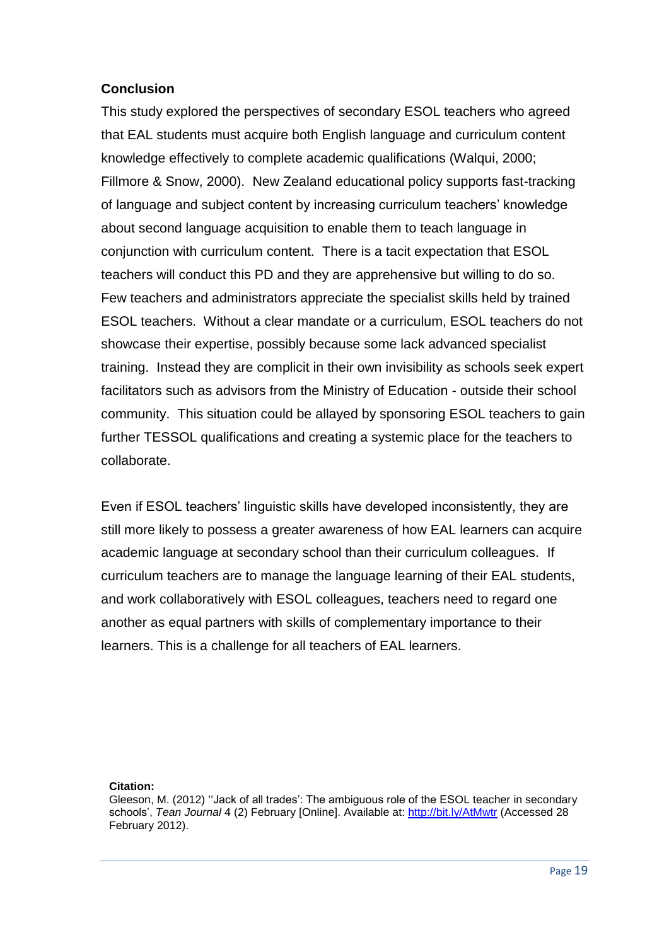### **Conclusion**

This study explored the perspectives of secondary ESOL teachers who agreed that EAL students must acquire both English language and curriculum content knowledge effectively to complete academic qualifications (Walqui, 2000; Fillmore & Snow, 2000). New Zealand educational policy supports fast-tracking of language and subject content by increasing curriculum teachers' knowledge about second language acquisition to enable them to teach language in conjunction with curriculum content. There is a tacit expectation that ESOL teachers will conduct this PD and they are apprehensive but willing to do so. Few teachers and administrators appreciate the specialist skills held by trained ESOL teachers. Without a clear mandate or a curriculum, ESOL teachers do not showcase their expertise, possibly because some lack advanced specialist training. Instead they are complicit in their own invisibility as schools seek expert facilitators such as advisors from the Ministry of Education - outside their school community. This situation could be allayed by sponsoring ESOL teachers to gain further TESSOL qualifications and creating a systemic place for the teachers to collaborate.

Even if ESOL teachers' linguistic skills have developed inconsistently, they are still more likely to possess a greater awareness of how EAL learners can acquire academic language at secondary school than their curriculum colleagues. If curriculum teachers are to manage the language learning of their EAL students, and work collaboratively with ESOL colleagues, teachers need to regard one another as equal partners with skills of complementary importance to their learners. This is a challenge for all teachers of EAL learners.

#### **Citation:**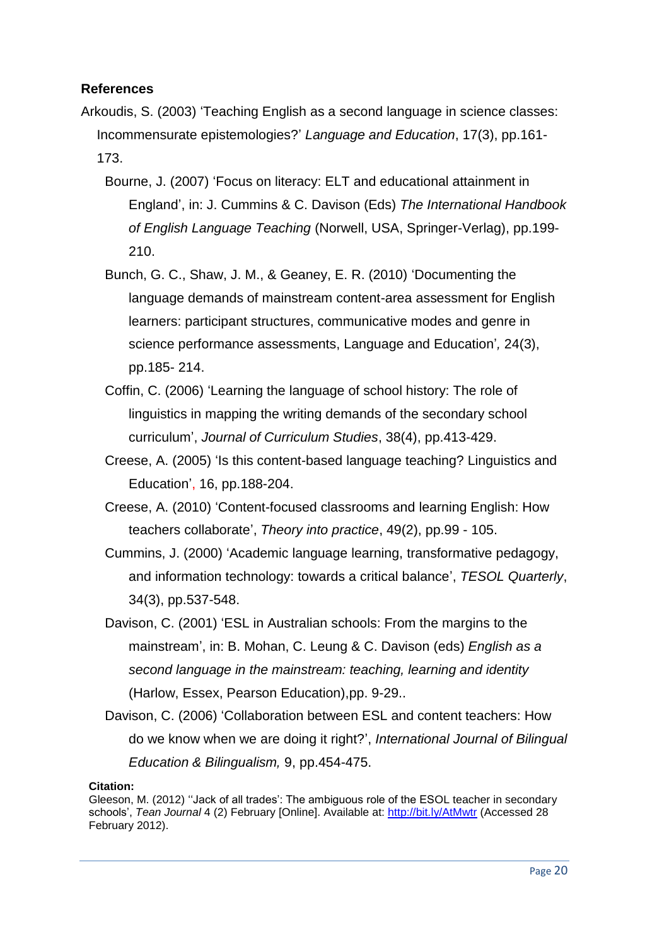### **References**

- Arkoudis, S. (2003) 'Teaching English as a second language in science classes: Incommensurate epistemologies?' *Language and Education*, 17(3), pp.161- 173.
	- Bourne, J. (2007) 'Focus on literacy: ELT and educational attainment in England', in: J. Cummins & C. Davison (Eds) *The International Handbook of English Language Teaching* (Norwell, USA, Springer-Verlag), pp.199- 210.
	- Bunch, G. C., Shaw, J. M., & Geaney, E. R. (2010) 'Documenting the language demands of mainstream content-area assessment for English learners: participant structures, communicative modes and genre in science performance assessments, Language and Education'*,* 24(3), pp.185- 214.
	- Coffin, C. (2006) 'Learning the language of school history: The role of linguistics in mapping the writing demands of the secondary school curriculum', *Journal of Curriculum Studies*, 38(4), pp.413-429.
	- Creese, A. (2005) 'Is this content-based language teaching? Linguistics and Education', 16, pp.188-204.
	- Creese, A. (2010) 'Content-focused classrooms and learning English: How teachers collaborate', *Theory into practice*, 49(2), pp.99 - 105.
	- Cummins, J. (2000) 'Academic language learning, transformative pedagogy, and information technology: towards a critical balance', *TESOL Quarterly*, 34(3), pp.537-548.
	- Davison, C. (2001) 'ESL in Australian schools: From the margins to the mainstream', in: B. Mohan, C. Leung & C. Davison (eds) *English as a second language in the mainstream: teaching, learning and identity* (Harlow, Essex, Pearson Education),pp. 9-29..
	- Davison, C. (2006) 'Collaboration between ESL and content teachers: How do we know when we are doing it right?', *International Journal of Bilingual Education & Bilingualism,* 9, pp.454-475.

Gleeson, M. (2012) ''Jack of all trades': The ambiguous role of the ESOL teacher in secondary schools', *Tean Journal* 4 (2) February [Online]. Available at: http://bit.ly/AtMwtr (Accessed 28 February 2012).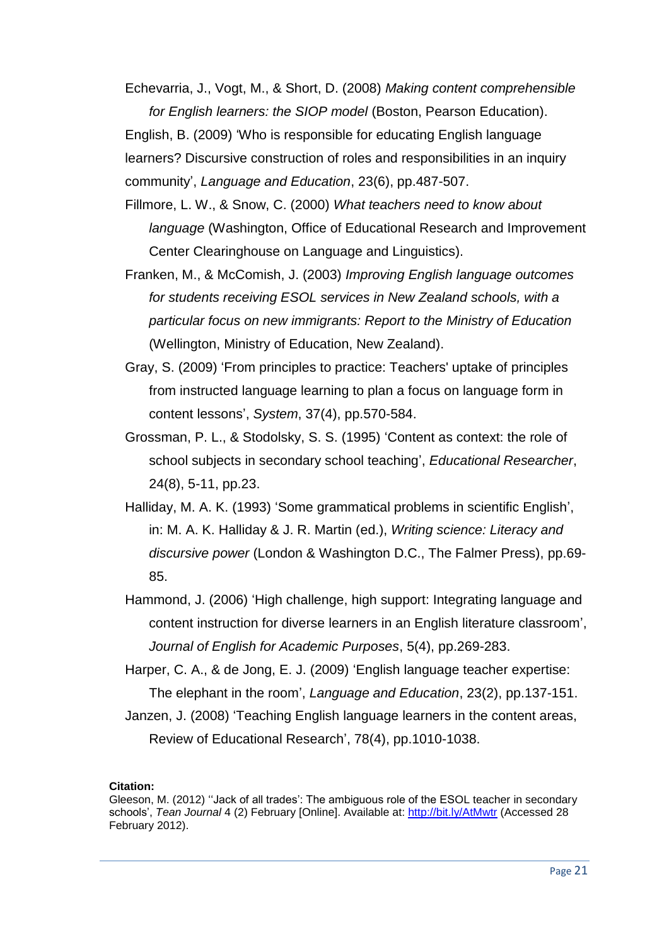Echevarria, J., Vogt, M., & Short, D. (2008) *Making content comprehensible for English learners: the SIOP model* (Boston, Pearson Education).

English, B. (2009) 'Who is responsible for educating English language learners? Discursive construction of roles and responsibilities in an inquiry community', *Language and Education*, 23(6), pp.487-507.

Fillmore, L. W., & Snow, C. (2000) *What teachers need to know about language* (Washington, Office of Educational Research and Improvement Center Clearinghouse on Language and Linguistics).

Franken, M., & McComish, J. (2003) *Improving English language outcomes for students receiving ESOL services in New Zealand schools, with a particular focus on new immigrants: Report to the Ministry of Education* (Wellington, Ministry of Education, New Zealand).

- Gray, S. (2009) 'From principles to practice: Teachers' uptake of principles from instructed language learning to plan a focus on language form in content lessons', *System*, 37(4), pp.570-584.
- Grossman, P. L., & Stodolsky, S. S. (1995) 'Content as context: the role of school subjects in secondary school teaching', *Educational Researcher*, 24(8), 5-11, pp.23.
- Halliday, M. A. K. (1993) 'Some grammatical problems in scientific English', in: M. A. K. Halliday & J. R. Martin (ed.), *Writing science: Literacy and discursive power* (London & Washington D.C., The Falmer Press), pp.69- 85.
- Hammond, J. (2006) 'High challenge, high support: Integrating language and content instruction for diverse learners in an English literature classroom', *Journal of English for Academic Purposes*, 5(4), pp.269-283.
- Harper, C. A., & de Jong, E. J. (2009) 'English language teacher expertise: The elephant in the room', *Language and Education*, 23(2), pp.137-151.
- Janzen, J. (2008) 'Teaching English language learners in the content areas, Review of Educational Research', 78(4), pp.1010-1038.

Gleeson, M. (2012) ''Jack of all trades': The ambiguous role of the ESOL teacher in secondary schools', *Tean Journal* 4 (2) February [Online]. Available at: http://bit.ly/AtMwtr (Accessed 28 February 2012).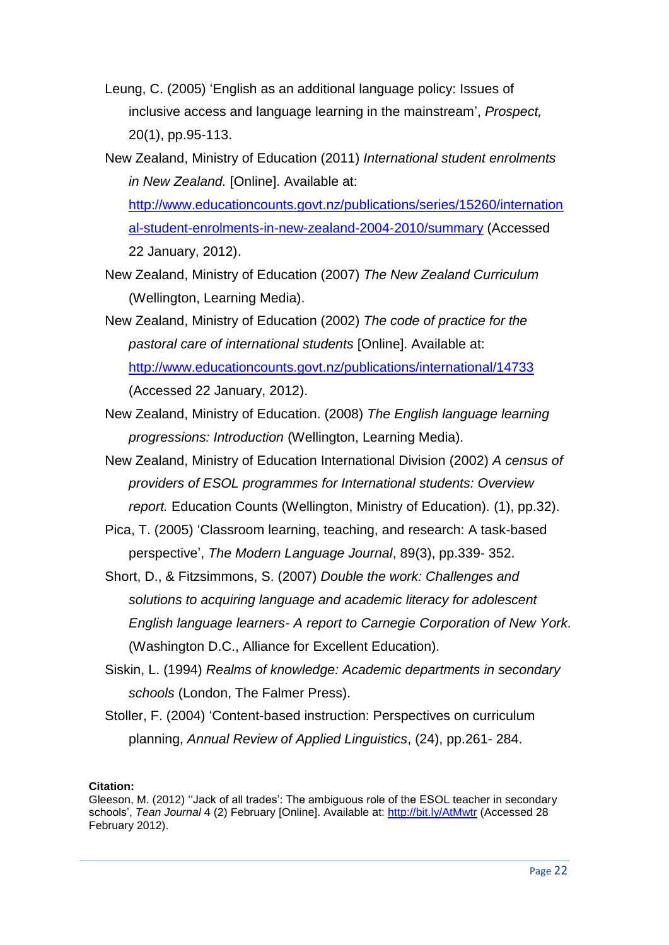- Leung, C. (2005) 'English as an additional language policy: Issues of inclusive access and language learning in the mainstream', *Prospect,* 20(1), pp.95-113.
- New Zealand, Ministry of Education (2011) *International student enrolments in New Zealand.* [Online]. Available at: [http://www.educationcounts.govt.nz/publications/series/15260/internation](http://www.educationcounts.govt.nz/publications/series/15260/international-student-enrolments-in-new-zealand-2004-2010/summary) [al-student-enrolments-in-new-zealand-2004-2010/summary](http://www.educationcounts.govt.nz/publications/series/15260/international-student-enrolments-in-new-zealand-2004-2010/summary) (Accessed 22 January, 2012).
- New Zealand, Ministry of Education (2007) *The New Zealand Curriculum* (Wellington, Learning Media).
- New Zealand, Ministry of Education (2002) *The code of practice for the pastoral care of international students* [Online]. Available at: <http://www.educationcounts.govt.nz/publications/international/14733> (Accessed 22 January, 2012).
- New Zealand, Ministry of Education. (2008) *The English language learning progressions: Introduction* (Wellington, Learning Media).
- New Zealand, Ministry of Education International Division (2002) *A census of providers of ESOL programmes for International students: Overview report.* Education Counts (Wellington, Ministry of Education). (1), pp.32).
- Pica, T. (2005) 'Classroom learning, teaching, and research: A task-based perspective', *The Modern Language Journal*, 89(3), pp.339- 352.
- Short, D., & Fitzsimmons, S. (2007) *Double the work: Challenges and solutions to acquiring language and academic literacy for adolescent English language learners- A report to Carnegie Corporation of New York.* (Washington D.C., Alliance for Excellent Education).
- Siskin, L. (1994) *Realms of knowledge: Academic departments in secondary schools* (London, The Falmer Press).
- Stoller, F. (2004) 'Content-based instruction: Perspectives on curriculum planning, *Annual Review of Applied Linguistics*, (24), pp.261- 284.

Gleeson, M. (2012) ''Jack of all trades': The ambiguous role of the ESOL teacher in secondary schools', *Tean Journal* 4 (2) February [Online]. Available at: http://bit.ly/AtMwtr (Accessed 28 February 2012).